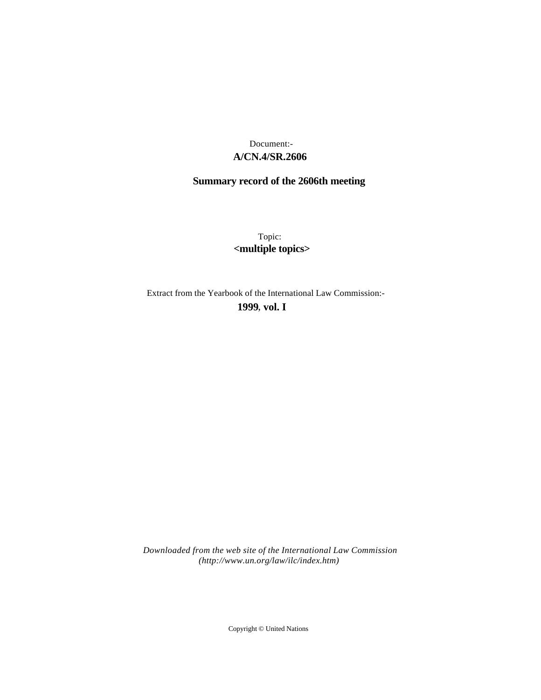# **A/CN.4/SR.2606** Document:-

# **Summary record of the 2606th meeting**

Topic: **<multiple topics>**

Extract from the Yearbook of the International Law Commission:-

**1999** , **vol. I**

*Downloaded from the web site of the International Law Commission (http://www.un.org/law/ilc/index.htm)*

Copyright © United Nations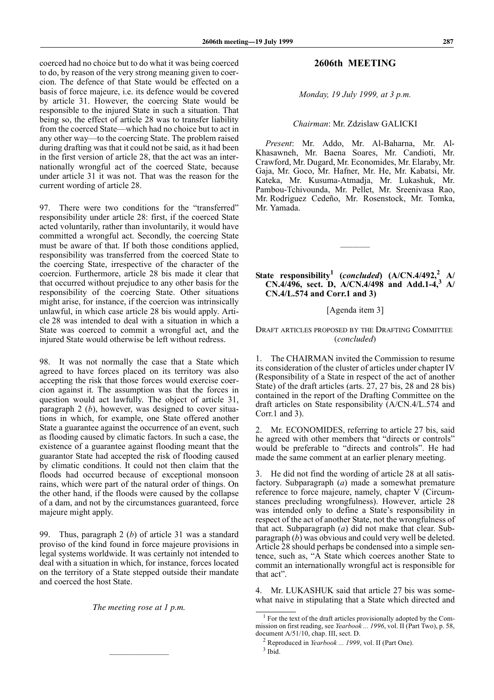coerced had no choice but to do what it was being coerced to do, by reason of the very strong meaning given to coercion. The defence of that State would be effected on a basis of force majeure, i.e. its defence would be covered by article 31. However, the coercing State would be responsible to the injured State in such a situation. That being so, the effect of article 28 was to transfer liability from the coerced State—which had no choice but to act in any other way—to the coercing State. The problem raised during drafting was that it could not be said, as it had been in the first version of article 28, that the act was an internationally wrongful act of the coerced State, because under article 31 it was not. That was the reason for the current wording of article 28.

97. There were two conditions for the "transferred" responsibility under article 28: first, if the coerced State acted voluntarily, rather than involuntarily, it would have committed a wrongful act. Secondly, the coercing State must be aware of that. If both those conditions applied, responsibility was transferred from the coerced State to the coercing State, irrespective of the character of the coercion. Furthermore, article 28 bis made it clear that that occurred without prejudice to any other basis for the responsibility of the coercing State. Other situations might arise, for instance, if the coercion was intrinsically unlawful, in which case article 28 bis would apply. Article 28 was intended to deal with a situation in which a State was coerced to commit a wrongful act, and the injured State would otherwise be left without redress.

98. It was not normally the case that a State which agreed to have forces placed on its territory was also accepting the risk that those forces would exercise coercion against it. The assumption was that the forces in question would act lawfully. The object of article 31, paragraph 2 (*b*), however, was designed to cover situations in which, for example, one State offered another State a guarantee against the occurrence of an event, such as flooding caused by climatic factors. In such a case, the existence of a guarantee against flooding meant that the guarantor State had accepted the risk of flooding caused by climatic conditions. It could not then claim that the floods had occurred because of exceptional monsoon rains, which were part of the natural order of things. On the other hand, if the floods were caused by the collapse of a dam, and not by the circumstances guaranteed, force majeure might apply.

99. Thus, paragraph 2 (*b*) of article 31 was a standard proviso of the kind found in force majeure provisions in legal systems worldwide. It was certainly not intended to deal with a situation in which, for instance, forces located on the territory of a State stepped outside their mandate and coerced the host State.

*The meeting rose at 1 p.m.*

—————————

# **2606th MEETING**

*Monday, 19 July 1999, at 3 p.m.*

# *Chairman*: Mr. Zdzislaw GALICKI

*Present*: Mr. Addo, Mr. Al-Baharna, Mr. Al-Khasawneh, Mr. Baena Soares, Mr. Candioti, Mr. Crawford, Mr. Dugard, Mr. Economides, Mr. Elaraby, Mr. Gaja, Mr. Goco, Mr. Hafner, Mr. He, Mr. Kabatsi, Mr. Kateka, Mr. Kusuma-Atmadja, Mr. Lukashuk, Mr. Pambou-Tchivounda, Mr. Pellet, Mr. Sreenivasa Rao, Mr. Rodríguez Cedeño, Mr. Rosenstock, Mr. Tomka, Mr. Yamada.

# **State responsibility<sup>1</sup> (***concluded***) (A/CN.4/492,<sup>2</sup> A/ CN.4/496, sect. D, A/CN.4/498 and Add.1-4,3 A/ CN.4/L.574 and Corr.1 and 3)**

————–

## [Agenda item 3]

# DRAFT ARTICLES PROPOSED BY THE DRAFTING COMMITTEE (*concluded*)

The CHAIRMAN invited the Commission to resume its consideration of the cluster of articles under chapter IV (Responsibility of a State in respect of the act of another State) of the draft articles (arts. 27, 27 bis, 28 and 28 bis) contained in the report of the Drafting Committee on the draft articles on State responsibility (A/CN.4/L.574 and Corr.1 and 3).

2. Mr. ECONOMIDES, referring to article 27 bis, said he agreed with other members that "directs or controls" would be preferable to "directs and controls". He had made the same comment at an earlier plenary meeting.

3. He did not find the wording of article 28 at all satisfactory. Subparagraph (*a*) made a somewhat premature reference to force majeure, namely, chapter V (Circumstances precluding wrongfulness). However, article 28 was intended only to define a State's responsibility in respect of the act of another State, not the wrongfulness of that act. Subparagraph (*a*) did not make that clear. Subparagraph (*b*) was obvious and could very well be deleted. Article 28 should perhaps be condensed into a simple sentence, such as, "A State which coerces another State to commit an internationally wrongful act is responsible for that act".

4. Mr. LUKASHUK said that article 27 bis was somewhat naive in stipulating that a State which directed and

<sup>&</sup>lt;sup>1</sup> For the text of the draft articles provisionally adopted by the Commission on first reading, see *Yearbook ... 1996*, vol. II (Part Two), p. 58, document A/51/10, chap. III, sect. D.

<sup>2</sup> Reproduced in *Yearbook ... 1999*, vol. II (Part One).

<sup>3</sup> Ibid.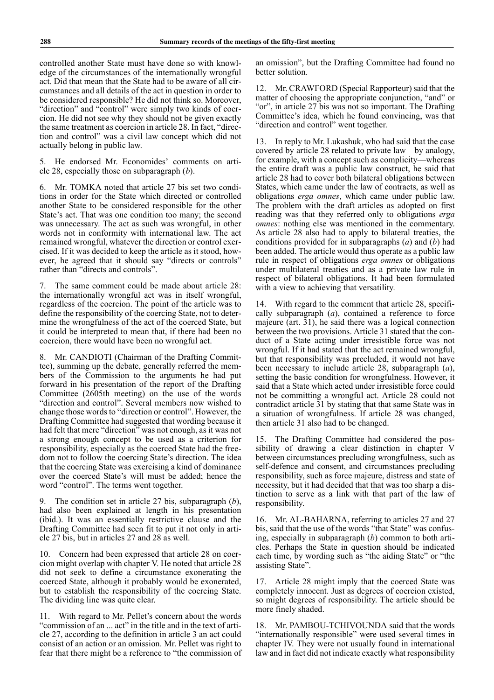controlled another State must have done so with knowledge of the circumstances of the internationally wrongful act. Did that mean that the State had to be aware of all circumstances and all details of the act in question in order to be considered responsible? He did not think so. Moreover, "direction" and "control" were simply two kinds of coercion. He did not see why they should not be given exactly the same treatment as coercion in article 28. In fact, "direction and control" was a civil law concept which did not actually belong in public law.

5. He endorsed Mr. Economides' comments on article 28, especially those on subparagraph (*b*).

6. Mr. TOMKA noted that article 27 bis set two conditions in order for the State which directed or controlled another State to be considered responsible for the other State's act. That was one condition too many; the second was unnecessary. The act as such was wrongful, in other words not in conformity with international law. The act remained wrongful, whatever the direction or control exercised. If it was decided to keep the article as it stood, however, he agreed that it should say "directs or controls" rather than "directs and controls".

7. The same comment could be made about article 28: the internationally wrongful act was in itself wrongful, regardless of the coercion. The point of the article was to define the responsibility of the coercing State, not to determine the wrongfulness of the act of the coerced State, but it could be interpreted to mean that, if there had been no coercion, there would have been no wrongful act.

8. Mr. CANDIOTI (Chairman of the Drafting Committee), summing up the debate, generally referred the members of the Commission to the arguments he had put forward in his presentation of the report of the Drafting Committee (2605th meeting) on the use of the words "direction and control". Several members now wished to change those words to "direction or control". However, the Drafting Committee had suggested that wording because it had felt that mere "direction" was not enough, as it was not a strong enough concept to be used as a criterion for responsibility, especially as the coerced State had the freedom not to follow the coercing State's direction. The idea that the coercing State was exercising a kind of dominance over the coerced State's will must be added; hence the word "control". The terms went together.

9. The condition set in article 27 bis, subparagraph (*b*), had also been explained at length in his presentation (ibid.). It was an essentially restrictive clause and the Drafting Committee had seen fit to put it not only in article 27 bis, but in articles 27 and 28 as well.

10. Concern had been expressed that article 28 on coercion might overlap with chapter V. He noted that article 28 did not seek to define a circumstance exonerating the coerced State, although it probably would be exonerated, but to establish the responsibility of the coercing State. The dividing line was quite clear.

11. With regard to Mr. Pellet's concern about the words "commission of an ... act" in the title and in the text of article 27, according to the definition in article 3 an act could consist of an action or an omission. Mr. Pellet was right to fear that there might be a reference to "the commission of an omission", but the Drafting Committee had found no better solution.

12. Mr. CRAWFORD (Special Rapporteur) said that the matter of choosing the appropriate conjunction, "and" or "or", in article 27 bis was not so important. The Drafting Committee's idea, which he found convincing, was that "direction and control" went together.

13. In reply to Mr. Lukashuk, who had said that the case covered by article 28 related to private law—by analogy, for example, with a concept such as complicity—whereas the entire draft was a public law construct, he said that article 28 had to cover both bilateral obligations between States, which came under the law of contracts, as well as obligations *erga omnes*, which came under public law. The problem with the draft articles as adopted on first reading was that they referred only to obligations *erga omnes*: nothing else was mentioned in the commentary. As article 28 also had to apply to bilateral treaties, the conditions provided for in subparagraphs (*a*) and (*b*) had been added. The article would thus operate as a public law rule in respect of obligations *erga omnes* or obligations under multilateral treaties and as a private law rule in respect of bilateral obligations. It had been formulated with a view to achieving that versatility.

14. With regard to the comment that article 28, specifically subparagraph (*a*), contained a reference to force majeure (art. 31), he said there was a logical connection between the two provisions. Article 31 stated that the conduct of a State acting under irresistible force was not wrongful. If it had stated that the act remained wrongful, but that responsibility was precluded, it would not have been necessary to include article 28, subparagraph (*a*), setting the basic condition for wrongfulness. However, it said that a State which acted under irresistible force could not be committing a wrongful act. Article 28 could not contradict article 31 by stating that that same State was in a situation of wrongfulness. If article 28 was changed, then article 31 also had to be changed.

15. The Drafting Committee had considered the possibility of drawing a clear distinction in chapter V between circumstances precluding wrongfulness, such as self-defence and consent, and circumstances precluding responsibility, such as force majeure, distress and state of necessity, but it had decided that that was too sharp a distinction to serve as a link with that part of the law of responsibility.

16. Mr. AL-BAHARNA, referring to articles 27 and 27 bis, said that the use of the words "that State" was confusing, especially in subparagraph (*b*) common to both articles. Perhaps the State in question should be indicated each time, by wording such as "the aiding State" or "the assisting State".

17. Article 28 might imply that the coerced State was completely innocent. Just as degrees of coercion existed, so might degrees of responsibility. The article should be more finely shaded.

18. Mr. PAMBOU-TCHIVOUNDA said that the words "internationally responsible" were used several times in chapter IV. They were not usually found in international law and in fact did not indicate exactly what responsibility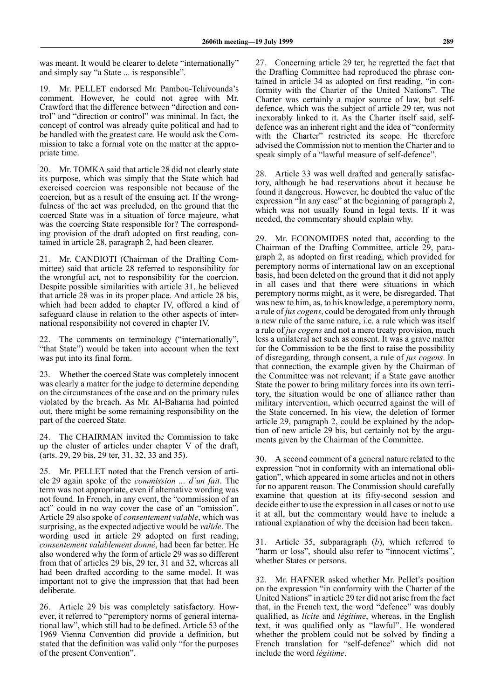was meant. It would be clearer to delete "internationally" and simply say "a State ... is responsible".

19. Mr. PELLET endorsed Mr. Pambou-Tchivounda's comment. However, he could not agree with Mr. Crawford that the difference between "direction and control" and "direction or control" was minimal. In fact, the concept of control was already quite political and had to be handled with the greatest care. He would ask the Commission to take a formal vote on the matter at the appropriate time.

20. Mr. TOMKA said that article 28 did not clearly state its purpose, which was simply that the State which had exercised coercion was responsible not because of the coercion, but as a result of the ensuing act. If the wrongfulness of the act was precluded, on the ground that the coerced State was in a situation of force majeure, what was the coercing State responsible for? The corresponding provision of the draft adopted on first reading, contained in article 28, paragraph 2, had been clearer.

21. Mr. CANDIOTI (Chairman of the Drafting Committee) said that article 28 referred to responsibility for the wrongful act, not to responsibility for the coercion. Despite possible similarities with article 31, he believed that article 28 was in its proper place. And article 28 bis, which had been added to chapter IV, offered a kind of safeguard clause in relation to the other aspects of international responsibility not covered in chapter IV.

The comments on terminology ("internationally", "that State") would be taken into account when the text was put into its final form.

23. Whether the coerced State was completely innocent was clearly a matter for the judge to determine depending on the circumstances of the case and on the primary rules violated by the breach. As Mr. Al-Baharna had pointed out, there might be some remaining responsibility on the part of the coerced State.

24. The CHAIRMAN invited the Commission to take up the cluster of articles under chapter V of the draft, (arts. 29, 29 bis, 29 ter, 31, 32, 33 and 35).

25. Mr. PELLET noted that the French version of article 29 again spoke of the *commission ... d'un fait*. The term was not appropriate, even if alternative wording was not found. In French, in any event, the "commission of an act" could in no way cover the case of an "omission". Article 29 also spoke of *consentement valable*, which was surprising, as the expected adjective would be *valide*. The wording used in article 29 adopted on first reading, *consentement valablement donné*, had been far better. He also wondered why the form of article 29 was so different from that of articles 29 bis, 29 ter, 31 and 32, whereas all had been drafted according to the same model. It was important not to give the impression that that had been deliberate.

26. Article 29 bis was completely satisfactory. However, it referred to "peremptory norms of general international law", which still had to be defined. Article 53 of the 1969 Vienna Convention did provide a definition, but stated that the definition was valid only "for the purposes of the present Convention".

27. Concerning article 29 ter, he regretted the fact that the Drafting Committee had reproduced the phrase contained in article 34 as adopted on first reading, "in conformity with the Charter of the United Nations". The Charter was certainly a major source of law, but selfdefence, which was the subject of article 29 ter, was not inexorably linked to it. As the Charter itself said, selfdefence was an inherent right and the idea of "conformity with the Charter" restricted its scope. He therefore advised the Commission not to mention the Charter and to speak simply of a "lawful measure of self-defence".

28. Article 33 was well drafted and generally satisfactory, although he had reservations about it because he found it dangerous. However, he doubted the value of the expression "In any case" at the beginning of paragraph 2, which was not usually found in legal texts. If it was needed, the commentary should explain why.

29. Mr. ECONOMIDES noted that, according to the Chairman of the Drafting Committee, article 29, paragraph 2, as adopted on first reading, which provided for peremptory norms of international law on an exceptional basis, had been deleted on the ground that it did not apply in all cases and that there were situations in which peremptory norms might, as it were, be disregarded. That was new to him, as, to his knowledge, a peremptory norm, a rule of *jus cogens*, could be derogated from only through a new rule of the same nature, i.e. a rule which was itself a rule of *jus cogens* and not a mere treaty provision, much less a unilateral act such as consent. It was a grave matter for the Commission to be the first to raise the possibility of disregarding, through consent, a rule of *jus cogens*. In that connection, the example given by the Chairman of the Committee was not relevant; if a State gave another State the power to bring military forces into its own territory, the situation would be one of alliance rather than military intervention, which occurred against the will of the State concerned. In his view, the deletion of former article 29, paragraph 2, could be explained by the adoption of new article 29 bis, but certainly not by the arguments given by the Chairman of the Committee.

30. A second comment of a general nature related to the expression "not in conformity with an international obligation", which appeared in some articles and not in others for no apparent reason. The Commission should carefully examine that question at its fifty-second session and decide either to use the expression in all cases or not to use it at all, but the commentary would have to include a rational explanation of why the decision had been taken.

31. Article 35, subparagraph (*b*), which referred to "harm or loss", should also refer to "innocent victims", whether States or persons.

32. Mr. HAFNER asked whether Mr. Pellet's position on the expression "in conformity with the Charter of the United Nations" in article 29 ter did not arise from the fact that, in the French text, the word "defence" was doubly qualified, as *licite* and *légitime*, whereas, in the English text, it was qualified only as "lawful". He wondered whether the problem could not be solved by finding a French translation for "self-defence" which did not include the word *légitime*.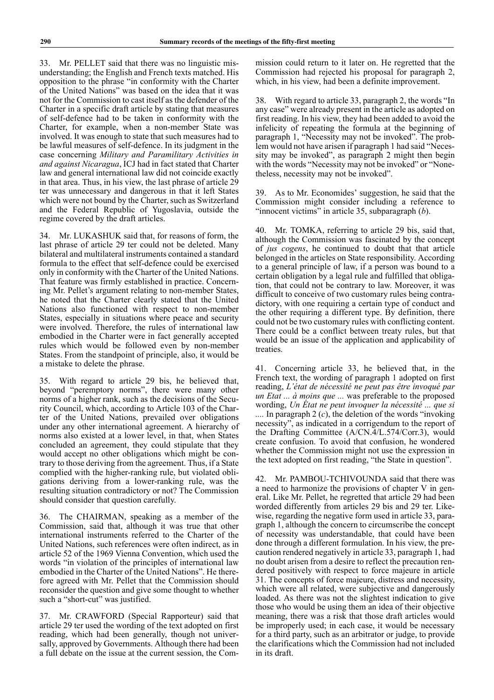33. Mr. PELLET said that there was no linguistic misunderstanding; the English and French texts matched. His opposition to the phrase "in conformity with the Charter of the United Nations" was based on the idea that it was not for the Commission to cast itself as the defender of the Charter in a specific draft article by stating that measures of self-defence had to be taken in conformity with the Charter, for example, when a non-member State was involved. It was enough to state that such measures had to be lawful measures of self-defence. In its judgment in the case concerning *Military and Paramilitary Activities in and against Nicaragua*, ICJ had in fact stated that Charter law and general international law did not coincide exactly in that area. Thus, in his view, the last phrase of article 29 ter was unnecessary and dangerous in that it left States which were not bound by the Charter, such as Switzerland and the Federal Republic of Yugoslavia, outside the regime covered by the draft articles.

34. Mr. LUKASHUK said that, for reasons of form, the last phrase of article 29 ter could not be deleted. Many bilateral and multilateral instruments contained a standard formula to the effect that self-defence could be exercised only in conformity with the Charter of the United Nations. That feature was firmly established in practice. Concerning Mr. Pellet's argument relating to non-member States, he noted that the Charter clearly stated that the United Nations also functioned with respect to non-member States, especially in situations where peace and security were involved. Therefore, the rules of international law embodied in the Charter were in fact generally accepted rules which would be followed even by non-member States. From the standpoint of principle, also, it would be a mistake to delete the phrase.

35. With regard to article 29 bis, he believed that, beyond "peremptory norms", there were many other norms of a higher rank, such as the decisions of the Security Council, which, according to Article 103 of the Charter of the United Nations, prevailed over obligations under any other international agreement. A hierarchy of norms also existed at a lower level, in that, when States concluded an agreement, they could stipulate that they would accept no other obligations which might be contrary to those deriving from the agreement. Thus, if a State complied with the higher-ranking rule, but violated obligations deriving from a lower-ranking rule, was the resulting situation contradictory or not? The Commission should consider that question carefully.

36. The CHAIRMAN, speaking as a member of the Commission, said that, although it was true that other international instruments referred to the Charter of the United Nations, such references were often indirect, as in article 52 of the 1969 Vienna Convention, which used the words "in violation of the principles of international law embodied in the Charter of the United Nations". He therefore agreed with Mr. Pellet that the Commission should reconsider the question and give some thought to whether such a "short-cut" was justified.

37. Mr. CRAWFORD (Special Rapporteur) said that article 29 ter used the wording of the text adopted on first reading, which had been generally, though not universally, approved by Governments. Although there had been a full debate on the issue at the current session, the Commission could return to it later on. He regretted that the Commission had rejected his proposal for paragraph 2, which, in his view, had been a definite improvement.

38. With regard to article 33, paragraph 2, the words "In any case" were already present in the article as adopted on first reading. In his view, they had been added to avoid the infelicity of repeating the formula at the beginning of paragraph 1, "Necessity may not be invoked". The problem would not have arisen if paragraph 1 had said "Necessity may be invoked", as paragraph 2 might then begin with the words "Necessity may not be invoked" or "Nonetheless, necessity may not be invoked".

39. As to Mr. Economides' suggestion, he said that the Commission might consider including a reference to "innocent victims" in article 35, subparagraph (*b*).

40. Mr. TOMKA, referring to article 29 bis, said that, although the Commission was fascinated by the concept of *jus cogens*, he continued to doubt that that article belonged in the articles on State responsibility. According to a general principle of law, if a person was bound to a certain obligation by a legal rule and fulfilled that obligation, that could not be contrary to law. Moreover, it was difficult to conceive of two customary rules being contradictory, with one requiring a certain type of conduct and the other requiring a different type. By definition, there could not be two customary rules with conflicting content. There could be a conflict between treaty rules, but that would be an issue of the application and applicability of treaties.

41. Concerning article 33, he believed that, in the French text, the wording of paragraph 1 adopted on first reading, *L'état de nécessité ne peut pas être invoqué par un Etat ... à moins que ...* was preferable to the proposed wording, *Un État ne peut invoquer la nécessité ... que si ....* In paragraph 2 (*c*), the deletion of the words "invoking necessity", as indicated in a corrigendum to the report of the Drafting Committee (A/CN.4/L.574/Corr.3), would create confusion. To avoid that confusion, he wondered whether the Commission might not use the expression in the text adopted on first reading, "the State in question".

42. Mr. PAMBOU-TCHIVOUNDA said that there was a need to harmonize the provisions of chapter V in general. Like Mr. Pellet, he regretted that article 29 had been worded differently from articles 29 bis and 29 ter. Likewise, regarding the negative form used in article 33, paragraph 1, although the concern to circumscribe the concept of necessity was understandable, that could have been done through a different formulation. In his view, the precaution rendered negatively in article 33, paragraph 1, had no doubt arisen from a desire to reflect the precaution rendered positively with respect to force majeure in article 31. The concepts of force majeure, distress and necessity, which were all related, were subjective and dangerously loaded. As there was not the slightest indication to give those who would be using them an idea of their objective meaning, there was a risk that those draft articles would be improperly used; in each case, it would be necessary for a third party, such as an arbitrator or judge, to provide the clarifications which the Commission had not included in its draft.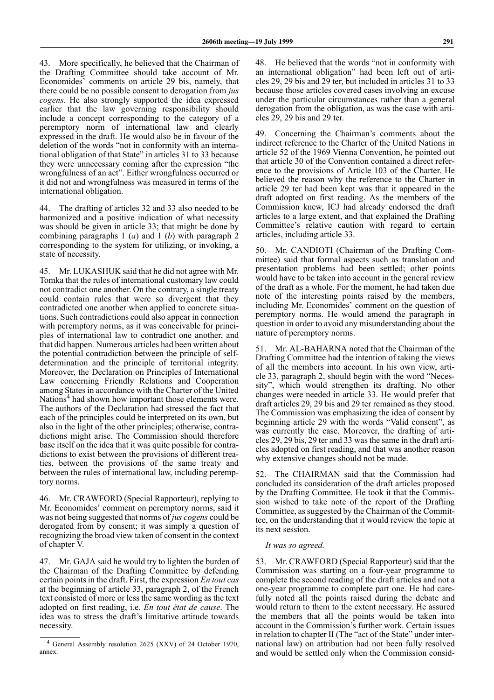43. More specifically, he believed that the Chairman of the Drafting Committee should take account of Mr. Economides' comments on article 29 bis, namely, that there could be no possible consent to derogation from *jus cogens*. He also strongly supported the idea expressed earlier that the law governing responsibility should include a concept corresponding to the category of a peremptory norm of international law and clearly expressed in the draft. He would also be in favour of the deletion of the words "not in conformity with an international obligation of that State" in articles 31 to 33 because they were unnecessary coming after the expression "the wrongfulness of an act". Either wrongfulness occurred or it did not and wrongfulness was measured in terms of the international obligation.

44. The drafting of articles 32 and 33 also needed to be harmonized and a positive indication of what necessity was should be given in article 33; that might be done by combining paragraphs 1 (*a*) and 1 (*b*) with paragraph 2 corresponding to the system for utilizing, or invoking, a state of necessity.

45. Mr. LUKASHUK said that he did not agree with Mr. Tomka that the rules of international customary law could not contradict one another. On the contrary, a single treaty could contain rules that were so divergent that they contradicted one another when applied to concrete situations. Such contradictions could also appear in connection with peremptory norms, as it was conceivable for principles of international law to contradict one another, and that did happen. Numerous articles had been written about the potential contradiction between the principle of selfdetermination and the principle of territorial integrity. Moreover, the Declaration on Principles of International Law concerning Friendly Relations and Cooperation among States in accordance with the Charter of the United Nations<sup>4</sup> had shown how important those elements were. The authors of the Declaration had stressed the fact that each of the principles could be interpreted on its own, but also in the light of the other principles; otherwise, contradictions might arise. The Commission should therefore base itself on the idea that it was quite possible for contradictions to exist between the provisions of different treaties, between the provisions of the same treaty and between the rules of international law, including peremptory norms.

46. Mr. CRAWFORD (Special Rapporteur), replying to Mr. Economides' comment on peremptory norms, said it was not being suggested that norms of *jus cogens* could be derogated from by consent; it was simply a question of recognizing the broad view taken of consent in the context of chapter V.

47. Mr. GAJA said he would try to lighten the burden of the Chairman of the Drafting Committee by defending certain points in the draft. First, the expression *En tout cas* at the beginning of article 33, paragraph 2, of the French text consisted of more or less the same wording as the text adopted on first reading, i.e. *En tout état de cause*. The idea was to stress the draft's limitative attitude towards necessity.

48. He believed that the words "not in conformity with an international obligation" had been left out of articles 29, 29 bis and 29 ter, but included in articles 31 to 33 because those articles covered cases involving an excuse under the particular circumstances rather than a general derogation from the obligation, as was the case with articles 29, 29 bis and 29 ter.

49. Concerning the Chairman's comments about the indirect reference to the Charter of the United Nations in article 52 of the 1969 Vienna Convention, he pointed out that article 30 of the Convention contained a direct reference to the provisions of Article 103 of the Charter. He believed the reason why the reference to the Charter in article 29 ter had been kept was that it appeared in the draft adopted on first reading. As the members of the Commission knew, ICJ had already endorsed the draft articles to a large extent, and that explained the Drafting Committee's relative caution with regard to certain articles, including article 33.

50. Mr. CANDIOTI (Chairman of the Drafting Committee) said that formal aspects such as translation and presentation problems had been settled; other points would have to be taken into account in the general review of the draft as a whole. For the moment, he had taken due note of the interesting points raised by the members, including Mr. Economides' comment on the question of peremptory norms. He would amend the paragraph in question in order to avoid any misunderstanding about the nature of peremptory norms.

51. Mr. AL-BAHARNA noted that the Chairman of the Drafting Committee had the intention of taking the views of all the members into account. In his own view, article 33, paragraph 2, should begin with the word "Necessity", which would strengthen its drafting. No other changes were needed in article 33. He would prefer that draft articles 29, 29 bis and 29 ter remained as they stood. The Commission was emphasizing the idea of consent by beginning article 29 with the words "Valid consent", as was currently the case. Moreover, the drafting of articles 29, 29 bis, 29 ter and 33 was the same in the draft articles adopted on first reading, and that was another reason why extensive changes should not be made.

52. The CHAIRMAN said that the Commission had concluded its consideration of the draft articles proposed by the Drafting Committee. He took it that the Commission wished to take note of the report of the Drafting Committee, as suggested by the Chairman of the Committee, on the understanding that it would review the topic at its next session.

## *It was so agreed.*

53. Mr. CRAWFORD (Special Rapporteur) said that the Commission was starting on a four-year programme to complete the second reading of the draft articles and not a one-year programme to complete part one. He had carefully noted all the points raised during the debate and would return to them to the extent necessary. He assured the members that all the points would be taken into account in the Commission's further work. Certain issues in relation to chapter II (The "act of the State" under international law) on attribution had not been fully resolved and would be settled only when the Commission consid-

<sup>&</sup>lt;sup>4</sup> General Assembly resolution 2625 (XXV) of 24 October 1970, annex.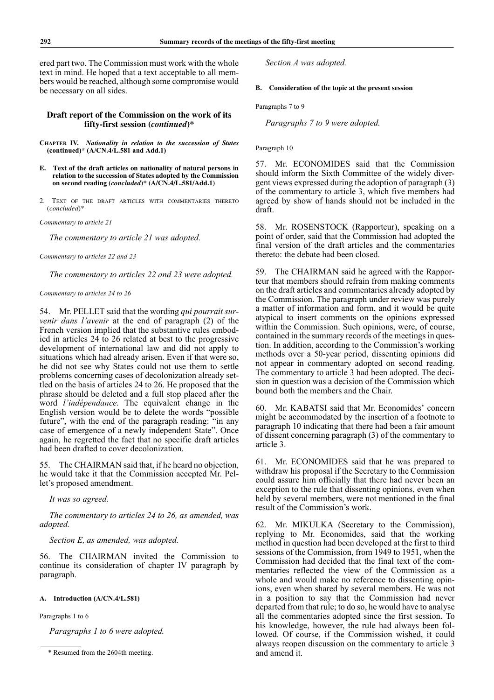ered part two. The Commission must work with the whole text in mind. He hoped that a text acceptable to all members would be reached, although some compromise would be necessary on all sides.

# **Draft report of the Commission on the work of its fifty-first session (***continued***)\***

- **CHAPTER IV.** *Nationality in relation to the succession of States* **(continued)\* (A/CN.4/L.581 and Add.1)**
- **E. Text of the draft articles on nationality of natural persons in relation to the succession of States adopted by the Commission on second reading (***concluded***)\* (A/CN.4/L.581/Add.1)**
- 2. TEXT OF THE DRAFT ARTICLES WITH COMMENTARIES THERETO (*concluded*)\*

*Commentary to article 21* 

*The commentary to article 21 was adopted.*

*Commentary to articles 22 and 23* 

*The commentary to articles 22 and 23 were adopted.*

## *Commentary to articles 24 to 26*

54. Mr. PELLET said that the wording *qui pourrait survenir dans l'avenir* at the end of paragraph (2) of the French version implied that the substantive rules embodied in articles 24 to 26 related at best to the progressive development of international law and did not apply to situations which had already arisen. Even if that were so, he did not see why States could not use them to settle problems concerning cases of decolonization already settled on the basis of articles 24 to 26. He proposed that the phrase should be deleted and a full stop placed after the word *l'indépendance.* The equivalent change in the English version would be to delete the words "possible future", with the end of the paragraph reading: "in any case of emergence of a newly independent State". Once again, he regretted the fact that no specific draft articles had been drafted to cover decolonization.

55. The CHAIRMAN said that, if he heard no objection, he would take it that the Commission accepted Mr. Pellet's proposed amendment.

*It was so agreed.*

*The commentary to articles 24 to 26, as amended, was adopted.*

*Section E, as amended, was adopted.*

56. The CHAIRMAN invited the Commission to continue its consideration of chapter IV paragraph by paragraph.

## **A. Introduction (A/CN.4/L.581)**

Paragraphs 1 to 6

*Paragraphs 1 to 6 were adopted.*

*Section A was adopted.*

**B. Consideration of the topic at the present session**

Paragraphs 7 to 9

*Paragraphs 7 to 9 were adopted.*

Paragraph 10

57. Mr. ECONOMIDES said that the Commission should inform the Sixth Committee of the widely divergent views expressed during the adoption of paragraph (3) of the commentary to article 3, which five members had agreed by show of hands should not be included in the draft.

58. Mr. ROSENSTOCK (Rapporteur), speaking on a point of order, said that the Commission had adopted the final version of the draft articles and the commentaries thereto: the debate had been closed.

59. The CHAIRMAN said he agreed with the Rapporteur that members should refrain from making comments on the draft articles and commentaries already adopted by the Commission. The paragraph under review was purely a matter of information and form, and it would be quite atypical to insert comments on the opinions expressed within the Commission. Such opinions, were, of course, contained in the summary records of the meetings in question. In addition, according to the Commission's working methods over a 50-year period, dissenting opinions did not appear in commentary adopted on second reading. The commentary to article 3 had been adopted. The decision in question was a decision of the Commission which bound both the members and the Chair.

60. Mr. KABATSI said that Mr. Economides' concern might be accommodated by the insertion of a footnote to paragraph 10 indicating that there had been a fair amount of dissent concerning paragraph (3) of the commentary to article 3.

61. Mr. ECONOMIDES said that he was prepared to withdraw his proposal if the Secretary to the Commission could assure him officially that there had never been an exception to the rule that dissenting opinions, even when held by several members, were not mentioned in the final result of the Commission's work.

62. Mr. MIKULKA (Secretary to the Commission), replying to Mr. Economides, said that the working method in question had been developed at the first to third sessions of the Commission, from 1949 to 1951, when the Commission had decided that the final text of the commentaries reflected the view of the Commission as a whole and would make no reference to dissenting opinions, even when shared by several members. He was not in a position to say that the Commission had never departed from that rule; to do so, he would have to analyse all the commentaries adopted since the first session. To his knowledge, however, the rule had always been followed. Of course, if the Commission wished, it could always reopen discussion on the commentary to article 3

<sup>\*</sup> Resumed from the 2604th meeting. and amend it.